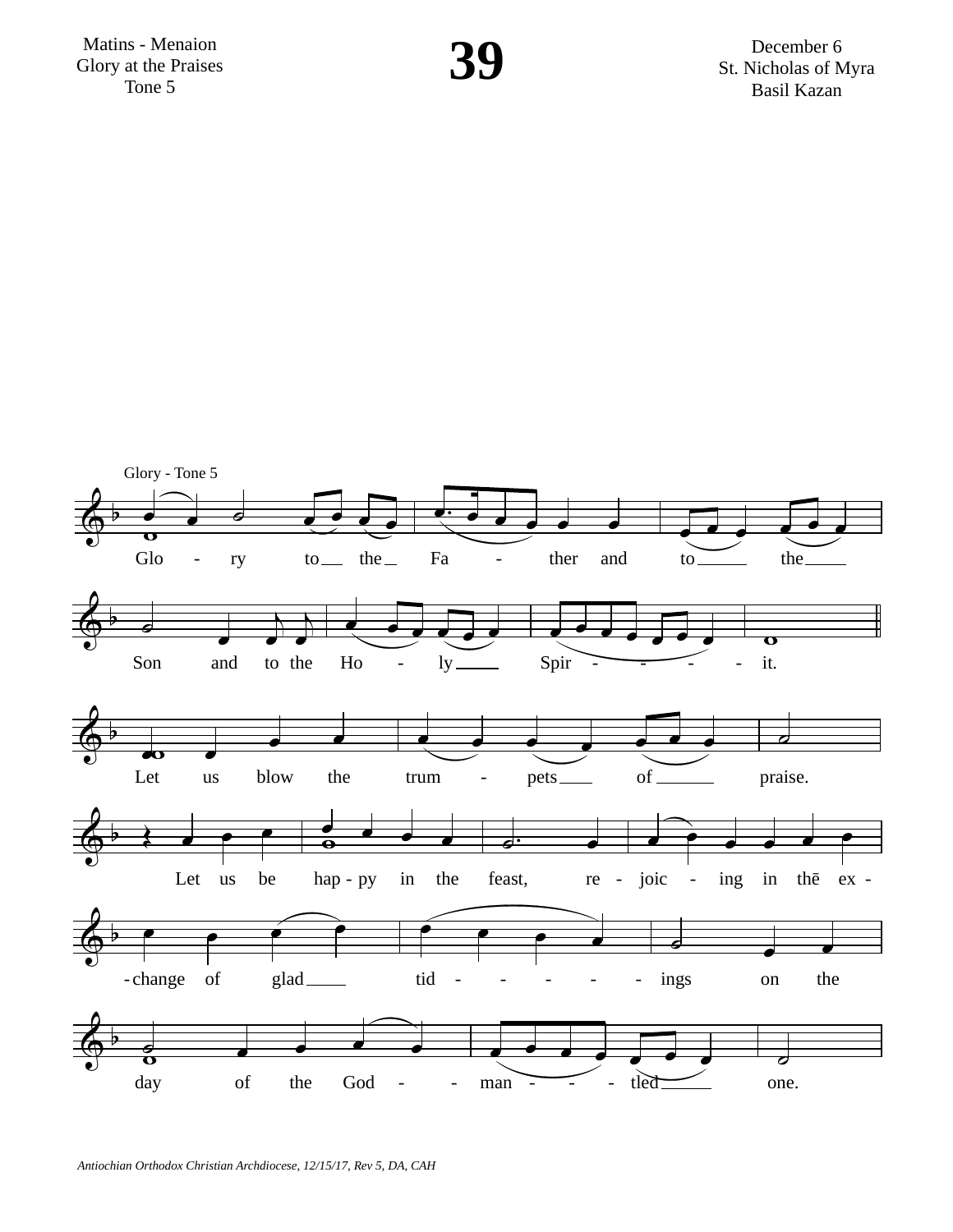Matins - Menaion Glory at the Praises Tone 5

December 6 St. Nicholas of Myra **Basil Kazan** 

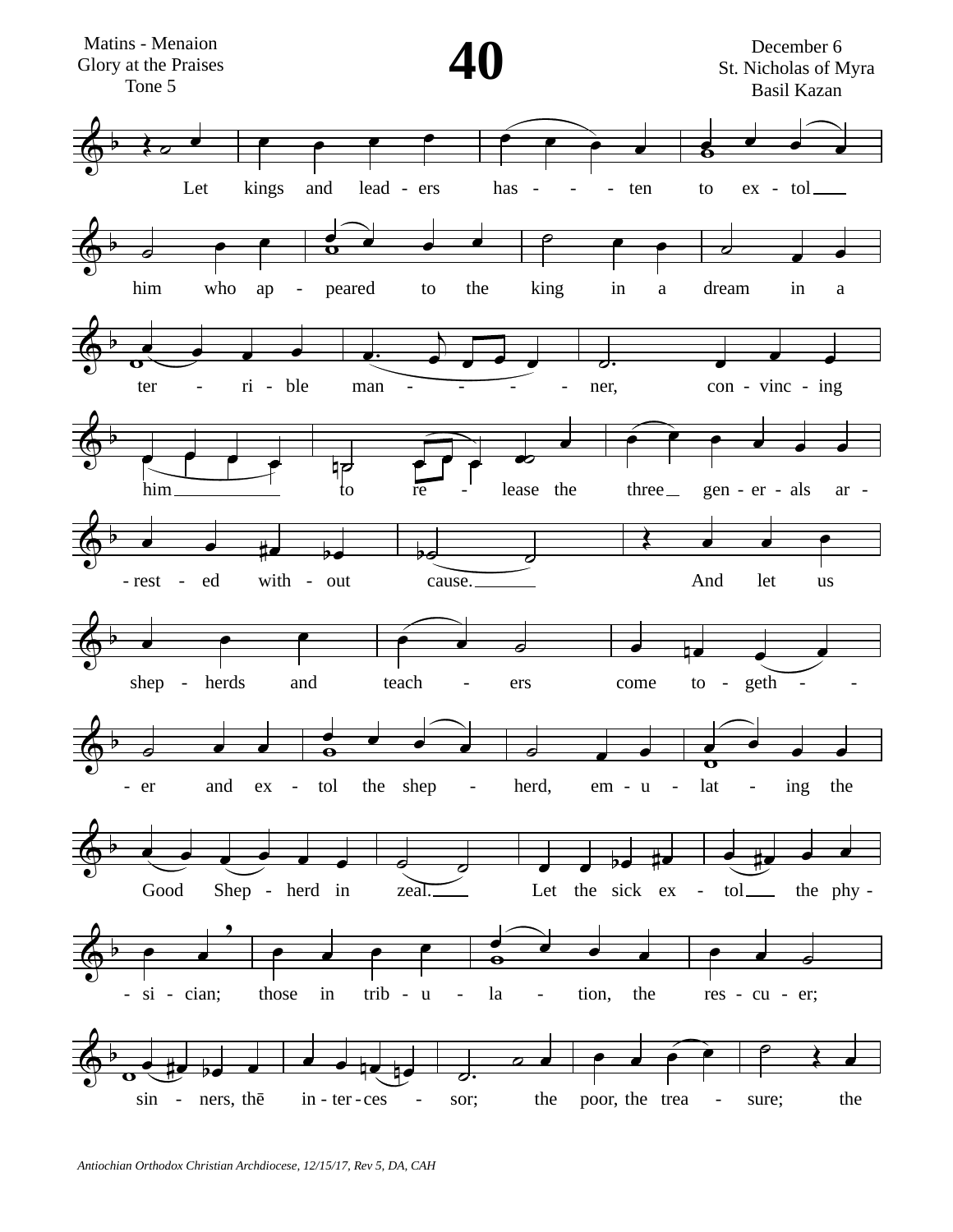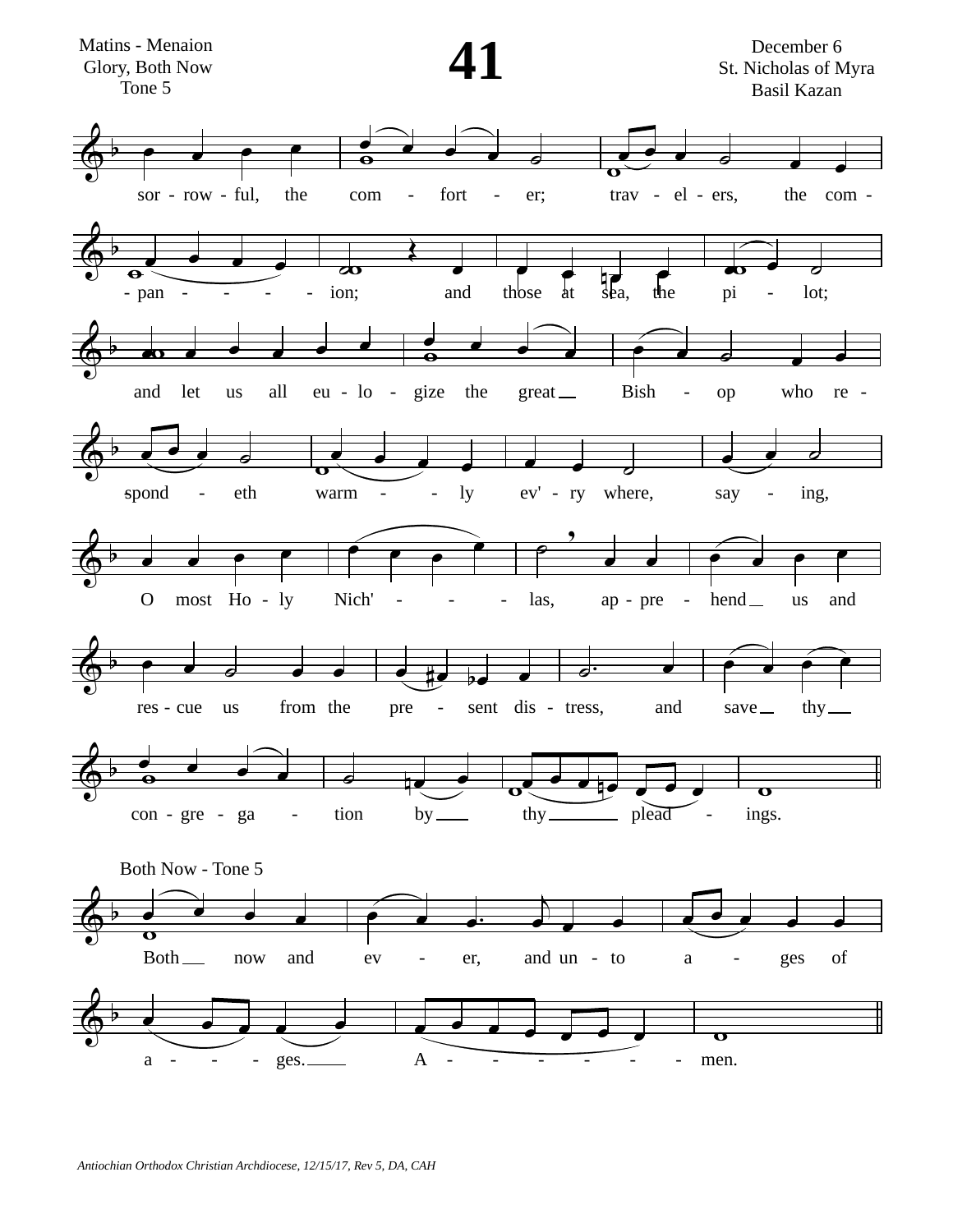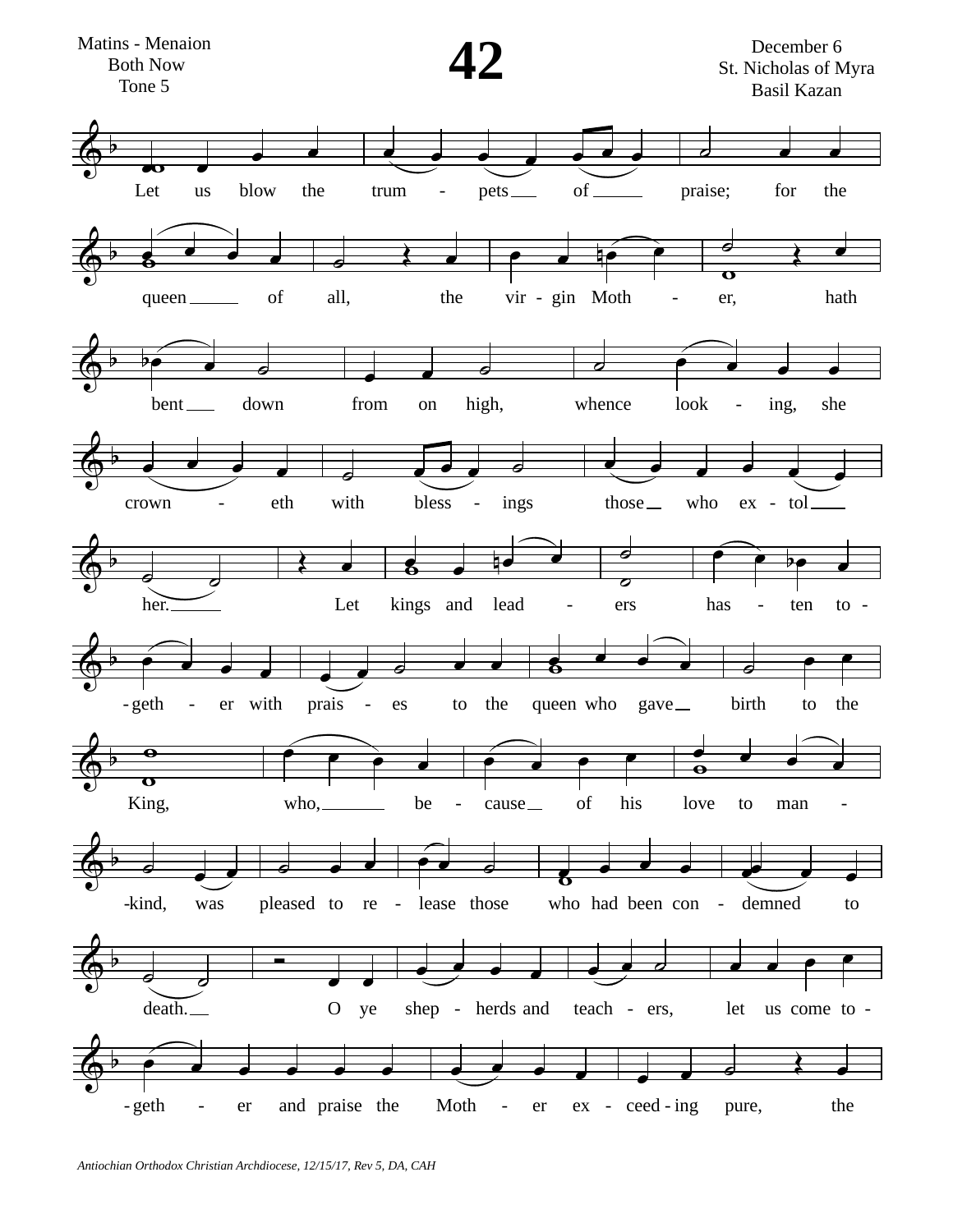